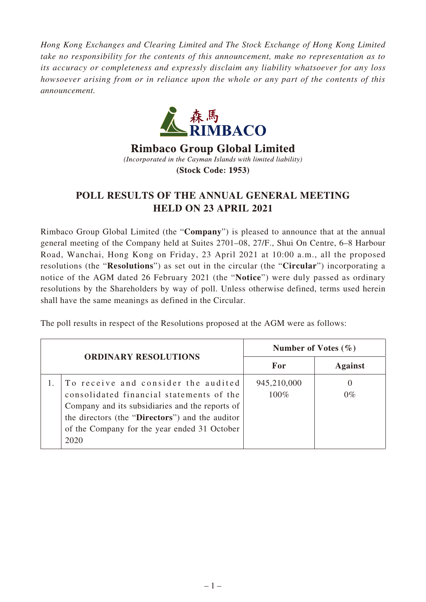*Hong Kong Exchanges and Clearing Limited and The Stock Exchange of Hong Kong Limited take no responsibility for the contents of this announcement, make no representation as to its accuracy or completeness and expressly disclaim any liability whatsoever for any loss howsoever arising from or in reliance upon the whole or any part of the contents of this announcement.*



**Rimbaco Group Global Limited** (Incorporated in the Cayman Islands with limited liability) **(Stock Code: 1953)** 

## **POLL RESULTS OF THE ANNUAL GENERAL MEETING HELD ON 23 APRIL 2021**

Rimbaco Group Global Limited (the "**Company**") is pleased to announce that at the annual general meeting of the Company held at Suites 2701–08, 27/F., Shui On Centre, 6–8 Harbour Road, Wanchai, Hong Kong on Friday, 23 April 2021 at 10:00 a.m., all the proposed resolutions (the "**Resolutions**") as set out in the circular (the "**Circular**") incorporating a notice of the AGM dated 26 February 2021 (the "**Notice**") were duly passed as ordinary resolutions by the Shareholders by way of poll. Unless otherwise defined, terms used herein shall have the same meanings as defined in the Circular.

The poll results in respect of the Resolutions proposed at the AGM were as follows:

| <b>ORDINARY RESOLUTIONS</b> |                                                                                                                                                                                                                                               | Number of Votes $(\% )$ |                |
|-----------------------------|-----------------------------------------------------------------------------------------------------------------------------------------------------------------------------------------------------------------------------------------------|-------------------------|----------------|
|                             |                                                                                                                                                                                                                                               | For                     | <b>Against</b> |
|                             | To receive and consider the audited<br>consolidated financial statements of the<br>Company and its subsidiaries and the reports of<br>the directors (the "Directors") and the auditor<br>of the Company for the year ended 31 October<br>2020 | 945,210,000<br>100%     | O<br>$0\%$     |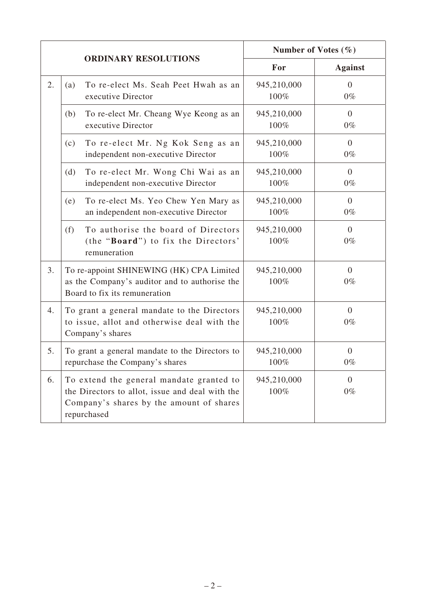|    |                                                                                                                                                        | Number of Votes $(\% )$                        |  |
|----|--------------------------------------------------------------------------------------------------------------------------------------------------------|------------------------------------------------|--|
|    | <b>ORDINARY RESOLUTIONS</b>                                                                                                                            | For<br><b>Against</b>                          |  |
| 2. | To re-elect Ms. Seah Peet Hwah as an<br>(a)<br>executive Director                                                                                      | 945,210,000<br>$\mathbf{0}$<br>100%<br>$0\%$   |  |
|    | To re-elect Mr. Cheang Wye Keong as an<br>(b)<br>executive Director                                                                                    | 945,210,000<br>$\overline{0}$<br>100%<br>$0\%$ |  |
|    | To re-elect Mr. Ng Kok Seng as an<br>(c)<br>independent non-executive Director                                                                         | 945,210,000<br>$\overline{0}$<br>100%<br>$0\%$ |  |
|    | To re-elect Mr. Wong Chi Wai as an<br>(d)<br>independent non-executive Director                                                                        | 945,210,000<br>$\overline{0}$<br>100%<br>$0\%$ |  |
|    | To re-elect Ms. Yeo Chew Yen Mary as<br>(e)<br>an independent non-executive Director                                                                   | 945,210,000<br>$\overline{0}$<br>100%<br>$0\%$ |  |
|    | To authorise the board of Directors<br>(f)<br>(the "Board") to fix the Directors'<br>remuneration                                                      | 945,210,000<br>$\overline{0}$<br>100%<br>$0\%$ |  |
| 3. | To re-appoint SHINEWING (HK) CPA Limited<br>as the Company's auditor and to authorise the<br>Board to fix its remuneration                             | 945,210,000<br>$\overline{0}$<br>100%<br>$0\%$ |  |
| 4. | To grant a general mandate to the Directors<br>to issue, allot and otherwise deal with the<br>Company's shares                                         | 945,210,000<br>$\overline{0}$<br>100%<br>$0\%$ |  |
| 5. | To grant a general mandate to the Directors to<br>repurchase the Company's shares                                                                      | 945,210,000<br>$\overline{0}$<br>$0\%$<br>100% |  |
| 6. | To extend the general mandate granted to<br>the Directors to allot, issue and deal with the<br>Company's shares by the amount of shares<br>repurchased | 945,210,000<br>$\overline{0}$<br>100%<br>$0\%$ |  |